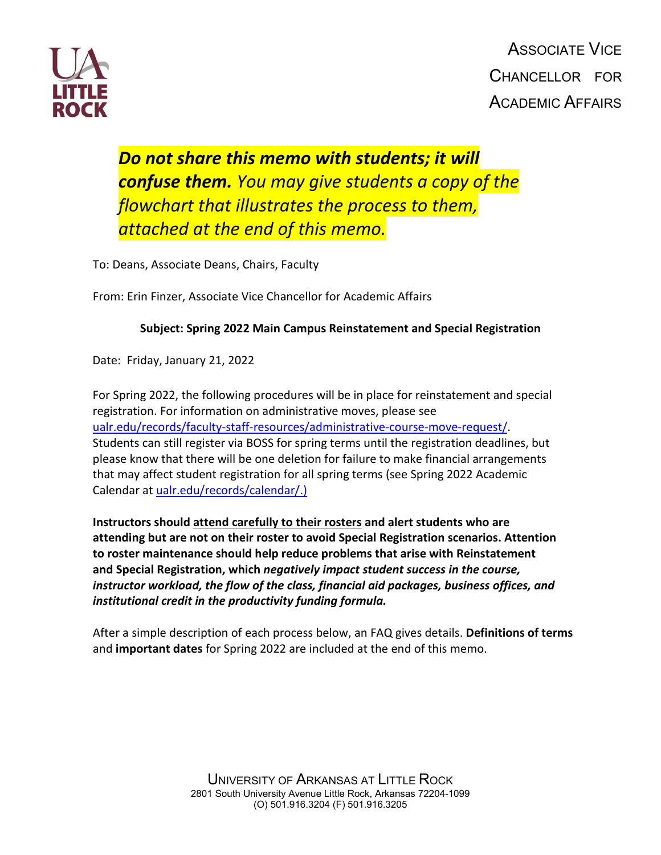

ASSOCIATE VICE CHANCELLOR FOR ACADEMIC AFFAIRS

# *Do not share this memo with students; it will confuse them. You may give students a copy of the flowchart that illustrates the process to them, attached at the end of this memo.*

To: Deans, Associate Deans, Chairs, Faculty

From: Erin Finzer, Associate Vice Chancellor for Academic Affairs

#### **Subject: Spring 2022 Main Campus Reinstatement and Special Registration**

Date: Friday, January 21, 2022

For Spring 2022, the following procedures will be in place for reinstatement and special registration. For information on administrative moves, please see ualr.edu/records/faculty-staff-resources/administrative-course-move-request/. Students can still register via BOSS for spring terms until the registration deadlines, but please know that there will be one deletion for failure to make financial arrangements that may affect student registration for all spring terms (see Spring 2022 Academic Calendar at [ualr.edu/records/calendar/.\)](https://ualr.edu/records/calendar/)

**Instructors should attend carefully to their rosters and alert students who are attending but are not on their roster to avoid Special Registration scenarios. Attention to roster maintenance should help reduce problems that arise with Reinstatement and Special Registration, which** *negatively impact student success in the course, instructor workload, the flow of the class, financial aid packages, business offices, and institutional credit in the productivity funding formula.*

After a simple description of each process below, an FAQ gives details. **Definitions of terms** and **important dates** for Spring 2022 are included at the end of this memo.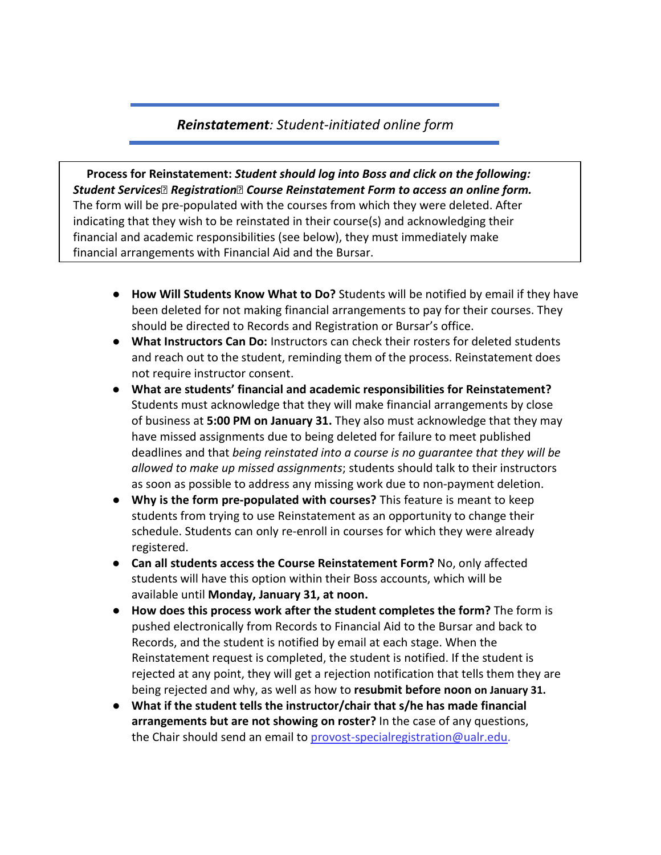## *Reinstatement: Student‐initiated online form*

**Process for Reinstatement:** *Student should log into Boss and click on the following:*  **Student Services<sup>®</sup> Registration<sup>®</sup> Course Reinstatement Form to access an online form.** The form will be pre‐populated with the courses from which they were deleted. After indicating that they wish to be reinstated in their course(s) and acknowledging their financial and academic responsibilities (see below), they must immediately make financial arrangements with Financial Aid and the Bursar.

- **How Will Students Know What to Do?** Students will be notified by email if they have been deleted for not making financial arrangements to pay for their courses. They should be directed to Records and Registration or Bursar's office.
- **What Instructors Can Do:** Instructors can check their rosters for deleted students and reach out to the student, reminding them of the process. Reinstatement does not require instructor consent.
- **What are students' financial and academic responsibilities for Reinstatement?**  Students must acknowledge that they will make financial arrangements by close of business at **5:00 PM on January 31.** They also must acknowledge that they may have missed assignments due to being deleted for failure to meet published deadlines and that *being reinstated into a course is no guarantee that they will be allowed to make up missed assignments*; students should talk to their instructors as soon as possible to address any missing work due to non‐payment deletion.
- **Why is the form pre-populated with courses?** This feature is meant to keep students from trying to use Reinstatement as an opportunity to change their schedule. Students can only re‐enroll in courses for which they were already registered.
- **Can all students access the Course Reinstatement Form?** No, only affected students will have this option within their Boss accounts, which will be available until **Monday, January 31, at noon.**
- **How does this process work after the student completes the form?** The form is pushed electronically from Records to Financial Aid to the Bursar and back to Records, and the student is notified by email at each stage. When the Reinstatement request is completed, the student is notified. If the student is rejected at any point, they will get a rejection notification that tells them they are being rejected and why, as well as how to **resubmit before noon on January 31.**
- **What if the student tells the instructor/chair that s/he has made financial arrangements but are not showing on roster?** In the case of any questions, the Chair should send an email to provost-specialregistration@ualr.edu.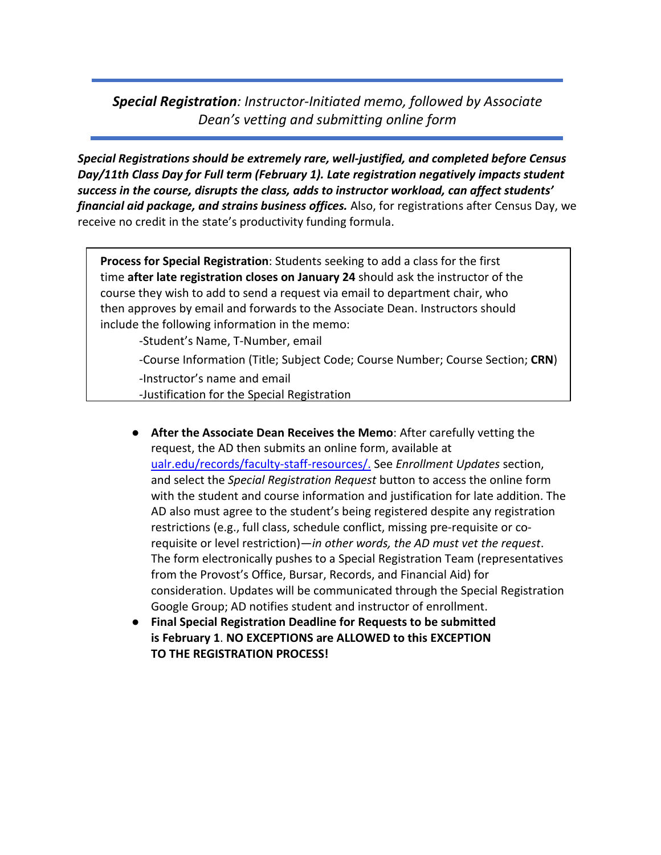## *Special Registration: Instructor‐Initiated memo, followed by Associate Dean's vetting and submitting online form*

*Special Registrations should be extremely rare, well‐justified, and completed before Census Day/11th Class Day for Full term (February 1). Late registration negatively impacts student success in the course, disrupts the class, adds to instructor workload, can affect students' financial aid package, and strains business offices.* Also, for registrations after Census Day, we receive no credit in the state's productivity funding formula.

**Process for Special Registration**: Students seeking to add a class for the first time **after late registration closes on January 24** should ask the instructor of the course they wish to add to send a request via email to department chair, who then approves by email and forwards to the Associate Dean. Instructors should include the following information in the memo:

‐Student's Name, T‐Number, email

‐Course Information (Title; Subject Code; Course Number; Course Section; **CRN**)

‐Instructor's name and email

‐Justification for the Special Registration

- **After the Associate Dean Receives the Memo**: After carefully vetting the request, the AD then submits an online form, available at [ualr.edu/records/faculty‐staff‐resources/.](https://ualr.edu/records/faculty-staff-resources/special-registration-request/) See *Enrollment Updates* section, and select the *Special Registration Request* button to access the online form with the student and course information and justification for late addition. The AD also must agree to the student's being registered despite any registration restrictions (e.g., full class, schedule conflict, missing pre‐requisite or co‐ requisite or level restriction)—*in other words, the AD must vet the request*. The form electronically pushes to a Special Registration Team (representatives from the Provost's Office, Bursar, Records, and Financial Aid) for consideration. Updates will be communicated through the Special Registration Google Group; AD notifies student and instructor of enrollment.
- **Final Special Registration Deadline for Requests to be submitted is February 1**. **NO EXCEPTIONS are ALLOWED to this EXCEPTION TO THE REGISTRATION PROCESS!**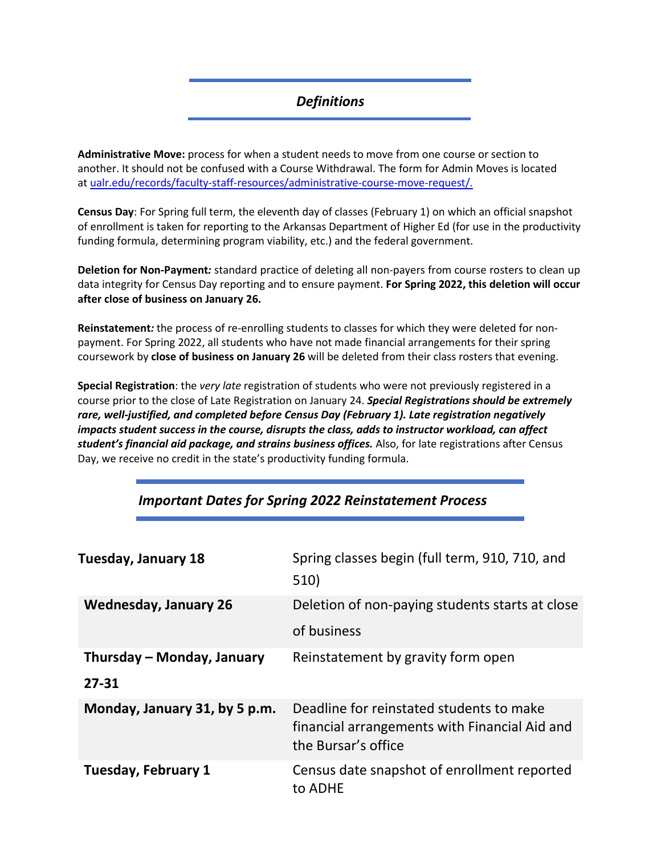## *Definitions*

**Administrative Move:** process for when a student needs to move from one course or section to another. It should not be confused with a Course Withdrawal. The form for Admin Moves is located at ualr.edu/records/faculty-staff-resources/administrative-course-move-request/.

**Census Day**: For Spring full term, the eleventh day of classes (February 1) on which an official snapshot of enrollment is taken for reporting to the Arkansas Department of Higher Ed (for use in the productivity funding formula, determining program viability, etc.) and the federal government.

**Deletion for Non‐Payment***:* standard practice of deleting all non‐payers from course rosters to clean up data integrity for Census Day reporting and to ensure payment. **For Spring 2022, this deletion will occur after close of business on January 26.**

**Reinstatement***:* the process of re‐enrolling students to classes for which they were deleted for non‐ payment. For Spring 2022, all students who have not made financial arrangements for their spring coursework by **close of business on January 26** will be deleted from their class rosters that evening.

**Special Registration**: the *very late* registration of students who were not previously registered in a course prior to the close of Late Registration on January 24. *Special Registrations should be extremely rare, well‐justified, and completed before Census Day (February 1). Late registration negatively impacts student success in the course, disrupts the class, adds to instructor workload, can affect student's financial aid package, and strains business offices.* Also, for late registrations after Census Day, we receive no credit in the state's productivity funding formula.

| <b>Tuesday, January 18</b>              | Spring classes begin (full term, 910, 710, and<br>510)                                                           |
|-----------------------------------------|------------------------------------------------------------------------------------------------------------------|
| <b>Wednesday, January 26</b>            | Deletion of non-paying students starts at close<br>of business                                                   |
| Thursday – Monday, January<br>$27 - 31$ | Reinstatement by gravity form open                                                                               |
| Monday, January 31, by 5 p.m.           | Deadline for reinstated students to make<br>financial arrangements with Financial Aid and<br>the Bursar's office |
| <b>Tuesday, February 1</b>              | Census date snapshot of enrollment reported<br>to ADHE                                                           |

## *Important Dates for Spring 2022 Reinstatement Process*